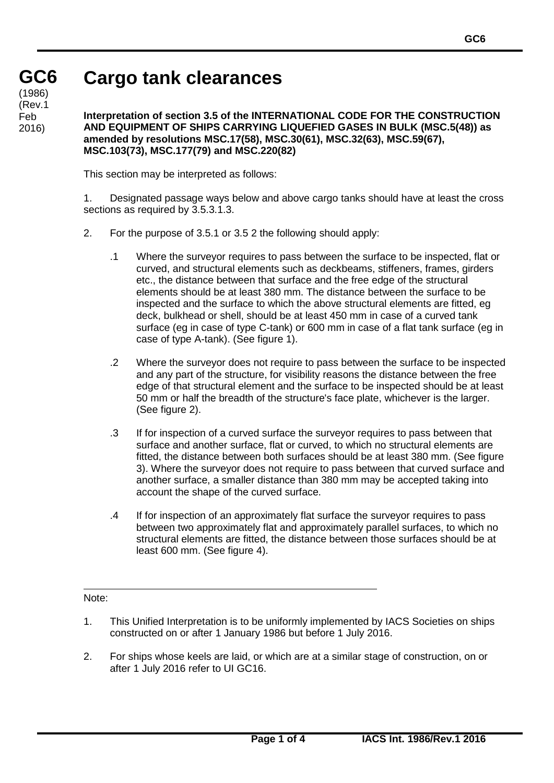## **Cargo tank clearances**

**GC6 GC6** (1986)<br>′Dav.4 (Rev.1 Feb 2016)

## **Interpretation of section 3.5 of the INTERNATIONAL CODE FOR THE CONSTRUCTION AND EQUIPMENT OF SHIPS CARRYING LIQUEFIED GASES IN BULK (MSC.5(48)) as amended by resolutions MSC.17(58), MSC.30(61), MSC.32(63), MSC.59(67), MSC.103(73), MSC.177(79) and MSC.220(82)**

This section may be interpreted as follows:

1. Designated passage ways below and above cargo tanks should have at least the cross sections as required by 3.5.3.1.3.

- 2. For the purpose of 3.5.1 or 3.5 2 the following should apply:
	- .1 Where the surveyor requires to pass between the surface to be inspected, flat or curved, and structural elements such as deckbeams, stiffeners, frames, girders etc., the distance between that surface and the free edge of the structural elements should be at least 380 mm. The distance between the surface to be inspected and the surface to which the above structural elements are fitted, eg deck, bulkhead or shell, should be at least 450 mm in case of a curved tank surface (eg in case of type C-tank) or 600 mm in case of a flat tank surface (eg in case of type A-tank). (See figure 1).
	- .2 Where the surveyor does not require to pass between the surface to be inspected and any part of the structure, for visibility reasons the distance between the free edge of that structural element and the surface to be inspected should be at least 50 mm or half the breadth of the structure's face plate, whichever is the larger. (See figure 2).
	- .3 If for inspection of a curved surface the surveyor requires to pass between that surface and another surface, flat or curved, to which no structural elements are fitted, the distance between both surfaces should be at least 380 mm. (See figure 3). Where the surveyor does not require to pass between that curved surface and another surface, a smaller distance than 380 mm may be accepted taking into account the shape of the curved surface.
	- .4 If for inspection of an approximately flat surface the surveyor requires to pass between two approximately flat and approximately parallel surfaces, to which no structural elements are fitted, the distance between those surfaces should be at least 600 mm. (See figure 4).

Note:

- 1. This Unified Interpretation is to be uniformly implemented by IACS Societies on ships constructed on or after 1 January 1986 but before 1 July 2016.
- 2. For ships whose keels are laid, or which are at a similar stage of construction, on or after 1 July 2016 refer to UI GC16.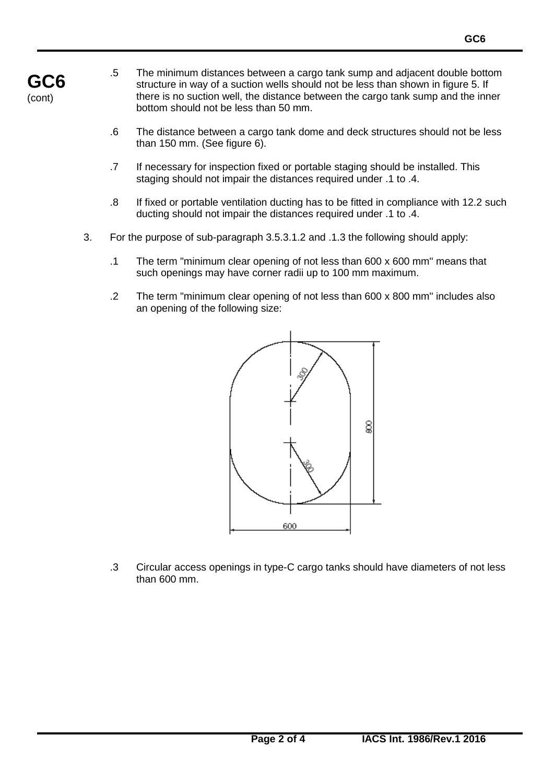- **GC6** (cont)
- .5 The minimum distances between a cargo tank sump and adjacent double bottom structure in way of a suction wells should not be less than shown in figure 5. If there is no suction well, the distance between the cargo tank sump and the inner bottom should not be less than 50 mm.
- .6 The distance between a cargo tank dome and deck structures should not be less than 150 mm. (See figure 6).
- .7 If necessary for inspection fixed or portable staging should be installed. This staging should not impair the distances required under .1 to .4.
- .8 If fixed or portable ventilation ducting has to be fitted in compliance with 12.2 such ducting should not impair the distances required under .1 to .4.
- 3. For the purpose of sub-paragraph 3.5.3.1.2 and .1.3 the following should apply:
	- .1 The term "minimum clear opening of not less than 600 x 600 mm" means that such openings may have corner radii up to 100 mm maximum.
	- .2 The term "minimum clear opening of not less than 600 x 800 mm" includes also an opening of the following size:



.3 Circular access openings in type-C cargo tanks should have diameters of not less than 600 mm.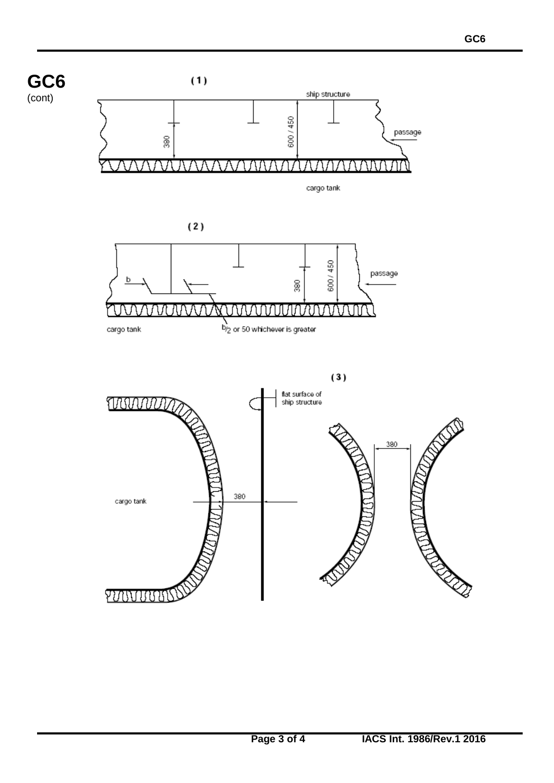